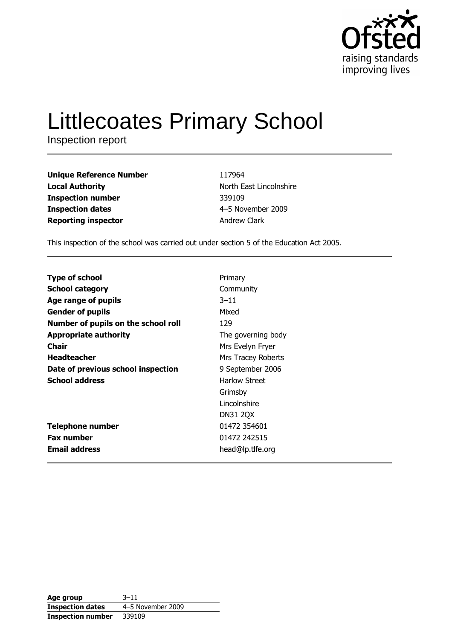

# **Littlecoates Primary School**

Inspection report

| <b>Unique Reference Number</b> |
|--------------------------------|
| <b>Local Authority</b>         |
| <b>Inspection number</b>       |
| <b>Inspection dates</b>        |
| <b>Reporting inspector</b>     |

117964 North East Lincolnshire 339109 4-5 November 2009 **Andrew Clark** 

This inspection of the school was carried out under section 5 of the Education Act 2005.

| <b>Type of school</b>               | Primary            |
|-------------------------------------|--------------------|
| <b>School category</b>              | Community          |
| Age range of pupils                 | $3 - 11$           |
| <b>Gender of pupils</b>             | Mixed              |
| Number of pupils on the school roll | 129                |
| <b>Appropriate authority</b>        | The governing body |
| <b>Chair</b>                        | Mrs Evelyn Fryer   |
| <b>Headteacher</b>                  | Mrs Tracey Roberts |
| Date of previous school inspection  | 9 September 2006   |
| <b>School address</b>               | Harlow Street      |
|                                     | Grimsby            |
|                                     | Lincolnshire       |
|                                     | <b>DN31 2QX</b>    |
| <b>Telephone number</b>             | 01472 354601       |
| <b>Fax number</b>                   | 01472 242515       |
| <b>Email address</b>                | head@lp.tlfe.org   |

| Age group                | $3 - 11$          |
|--------------------------|-------------------|
| <b>Inspection dates</b>  | 4-5 November 2009 |
| <b>Inspection number</b> | 339109            |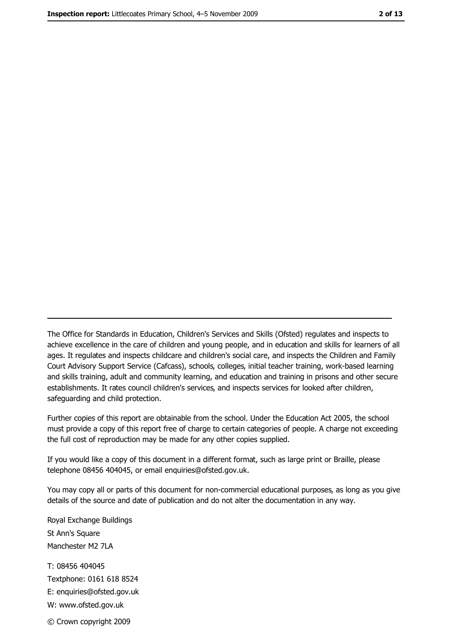The Office for Standards in Education, Children's Services and Skills (Ofsted) regulates and inspects to achieve excellence in the care of children and young people, and in education and skills for learners of all ages. It regulates and inspects childcare and children's social care, and inspects the Children and Family Court Advisory Support Service (Cafcass), schools, colleges, initial teacher training, work-based learning and skills training, adult and community learning, and education and training in prisons and other secure establishments. It rates council children's services, and inspects services for looked after children, safequarding and child protection.

Further copies of this report are obtainable from the school. Under the Education Act 2005, the school must provide a copy of this report free of charge to certain categories of people. A charge not exceeding the full cost of reproduction may be made for any other copies supplied.

If you would like a copy of this document in a different format, such as large print or Braille, please telephone 08456 404045, or email enquiries@ofsted.gov.uk.

You may copy all or parts of this document for non-commercial educational purposes, as long as you give details of the source and date of publication and do not alter the documentation in any way.

Royal Exchange Buildings St Ann's Square Manchester M2 7LA T: 08456 404045 Textphone: 0161 618 8524 E: enquiries@ofsted.gov.uk W: www.ofsted.gov.uk © Crown copyright 2009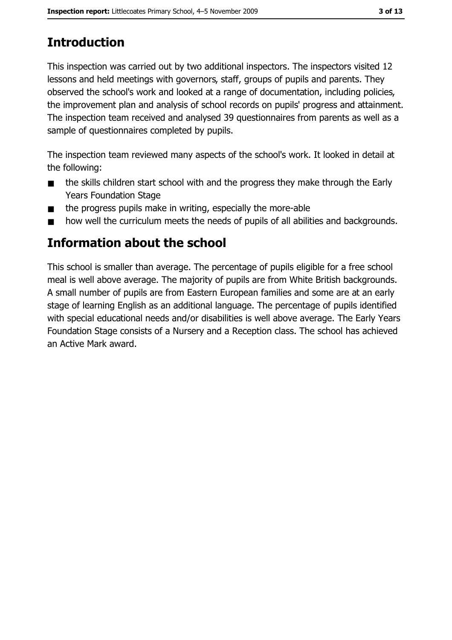# **Introduction**

This inspection was carried out by two additional inspectors. The inspectors visited 12 lessons and held meetings with governors, staff, groups of pupils and parents. They observed the school's work and looked at a range of documentation, including policies, the improvement plan and analysis of school records on pupils' progress and attainment. The inspection team received and analysed 39 questionnaires from parents as well as a sample of questionnaires completed by pupils.

The inspection team reviewed many aspects of the school's work. It looked in detail at the following:

- the skills children start school with and the progress they make through the Early  $\blacksquare$ **Years Foundation Stage**
- the progress pupils make in writing, especially the more-able  $\blacksquare$
- how well the curriculum meets the needs of pupils of all abilities and backgrounds.  $\blacksquare$

## Information about the school

This school is smaller than average. The percentage of pupils eligible for a free school meal is well above average. The majority of pupils are from White British backgrounds. A small number of pupils are from Eastern European families and some are at an early stage of learning English as an additional language. The percentage of pupils identified with special educational needs and/or disabilities is well above average. The Early Years Foundation Stage consists of a Nursery and a Reception class. The school has achieved an Active Mark award.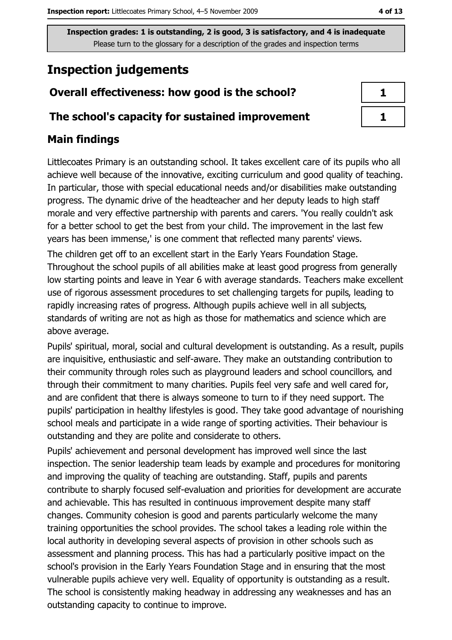# **Inspection judgements**

## Overall effectiveness: how good is the school?

#### The school's capacity for sustained improvement

## **Main findings**

Littlecoates Primary is an outstanding school. It takes excellent care of its pupils who all achieve well because of the innovative, exciting curriculum and good quality of teaching. In particular, those with special educational needs and/or disabilities make outstanding progress. The dynamic drive of the headteacher and her deputy leads to high staff morale and very effective partnership with parents and carers. 'You really couldn't ask for a better school to get the best from your child. The improvement in the last few years has been immense,' is one comment that reflected many parents' views.

The children get off to an excellent start in the Early Years Foundation Stage. Throughout the school pupils of all abilities make at least good progress from generally low starting points and leave in Year 6 with average standards. Teachers make excellent use of rigorous assessment procedures to set challenging targets for pupils, leading to rapidly increasing rates of progress. Although pupils achieve well in all subjects, standards of writing are not as high as those for mathematics and science which are above average.

Pupils' spiritual, moral, social and cultural development is outstanding. As a result, pupils are inquisitive, enthusiastic and self-aware. They make an outstanding contribution to their community through roles such as playground leaders and school councillors, and through their commitment to many charities. Pupils feel very safe and well cared for, and are confident that there is always someone to turn to if they need support. The pupils' participation in healthy lifestyles is good. They take good advantage of nourishing school meals and participate in a wide range of sporting activities. Their behaviour is outstanding and they are polite and considerate to others.

Pupils' achievement and personal development has improved well since the last inspection. The senior leadership team leads by example and procedures for monitoring and improving the quality of teaching are outstanding. Staff, pupils and parents contribute to sharply focused self-evaluation and priorities for development are accurate and achievable. This has resulted in continuous improvement despite many staff changes. Community cohesion is good and parents particularly welcome the many training opportunities the school provides. The school takes a leading role within the local authority in developing several aspects of provision in other schools such as assessment and planning process. This has had a particularly positive impact on the school's provision in the Early Years Foundation Stage and in ensuring that the most vulnerable pupils achieve very well. Equality of opportunity is outstanding as a result. The school is consistently making headway in addressing any weaknesses and has an outstanding capacity to continue to improve.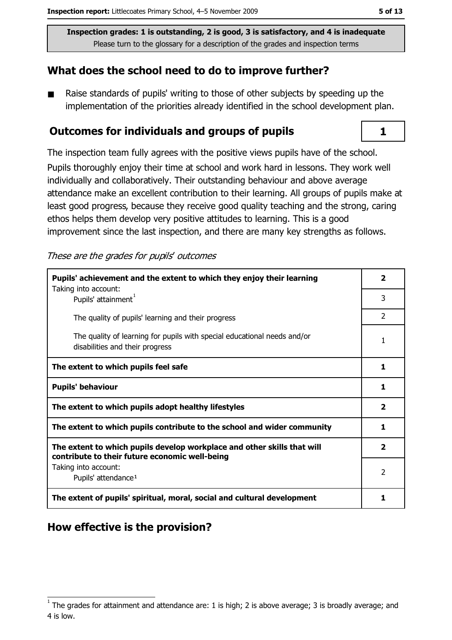#### What does the school need to do to improve further?

Raise standards of pupils' writing to those of other subjects by speeding up the  $\blacksquare$ implementation of the priorities already identified in the school development plan.

#### Outcomes for individuals and groups of pupils

The inspection team fully agrees with the positive views pupils have of the school.

Pupils thoroughly enjoy their time at school and work hard in lessons. They work well individually and collaboratively. Their outstanding behaviour and above average attendance make an excellent contribution to their learning. All groups of pupils make at least good progress, because they receive good quality teaching and the strong, caring ethos helps them develop very positive attitudes to learning. This is a good improvement since the last inspection, and there are many key strengths as follows.

These are the grades for pupils' outcomes

| Pupils' achievement and the extent to which they enjoy their learning                                                     |                         |  |  |
|---------------------------------------------------------------------------------------------------------------------------|-------------------------|--|--|
| Taking into account:<br>Pupils' attainment <sup>1</sup>                                                                   | 3                       |  |  |
| The quality of pupils' learning and their progress                                                                        | $\mathcal{P}$           |  |  |
| The quality of learning for pupils with special educational needs and/or<br>disabilities and their progress               | 1                       |  |  |
| The extent to which pupils feel safe                                                                                      | 1                       |  |  |
| <b>Pupils' behaviour</b>                                                                                                  | 1                       |  |  |
| The extent to which pupils adopt healthy lifestyles                                                                       | $\overline{\mathbf{2}}$ |  |  |
| The extent to which pupils contribute to the school and wider community                                                   |                         |  |  |
| The extent to which pupils develop workplace and other skills that will<br>contribute to their future economic well-being | $\overline{\mathbf{2}}$ |  |  |
| Taking into account:<br>Pupils' attendance <sup>1</sup>                                                                   | 2                       |  |  |
| The extent of pupils' spiritual, moral, social and cultural development                                                   | 1                       |  |  |

## How effective is the provision?

 $\mathbf{1}$ 

The grades for attainment and attendance are: 1 is high; 2 is above average; 3 is broadly average; and 4 is low.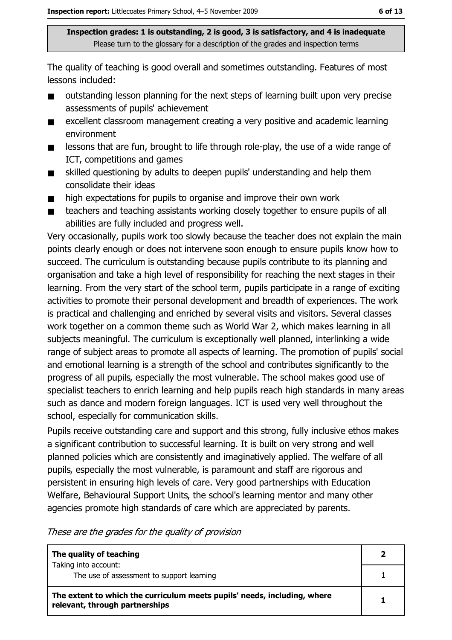The quality of teaching is good overall and sometimes outstanding. Features of most lessons included:

- outstanding lesson planning for the next steps of learning built upon very precise assessments of pupils' achievement
- excellent classroom management creating a very positive and academic learning  $\blacksquare$ environment
- lessons that are fun, brought to life through role-play, the use of a wide range of  $\blacksquare$ ICT, competitions and games
- skilled questioning by adults to deepen pupils' understanding and help them  $\blacksquare$ consolidate their ideas
- high expectations for pupils to organise and improve their own work  $\blacksquare$
- $\blacksquare$ teachers and teaching assistants working closely together to ensure pupils of all abilities are fully included and progress well.

Very occasionally, pupils work too slowly because the teacher does not explain the main points clearly enough or does not intervene soon enough to ensure pupils know how to succeed. The curriculum is outstanding because pupils contribute to its planning and organisation and take a high level of responsibility for reaching the next stages in their learning. From the very start of the school term, pupils participate in a range of exciting activities to promote their personal development and breadth of experiences. The work is practical and challenging and enriched by several visits and visitors. Several classes work together on a common theme such as World War 2, which makes learning in all subjects meaningful. The curriculum is exceptionally well planned, interlinking a wide range of subject areas to promote all aspects of learning. The promotion of pupils' social and emotional learning is a strength of the school and contributes significantly to the progress of all pupils, especially the most vulnerable. The school makes good use of specialist teachers to enrich learning and help pupils reach high standards in many areas such as dance and modern foreign languages. ICT is used very well throughout the school, especially for communication skills.

Pupils receive outstanding care and support and this strong, fully inclusive ethos makes a significant contribution to successful learning. It is built on very strong and well planned policies which are consistently and imaginatively applied. The welfare of all pupils, especially the most vulnerable, is paramount and staff are rigorous and persistent in ensuring high levels of care. Very good partnerships with Education Welfare, Behavioural Support Units, the school's learning mentor and many other agencies promote high standards of care which are appreciated by parents.

These are the grades for the quality of provision

| The quality of teaching                                                                                    |  |
|------------------------------------------------------------------------------------------------------------|--|
| Taking into account:<br>The use of assessment to support learning                                          |  |
| The extent to which the curriculum meets pupils' needs, including, where<br>relevant, through partnerships |  |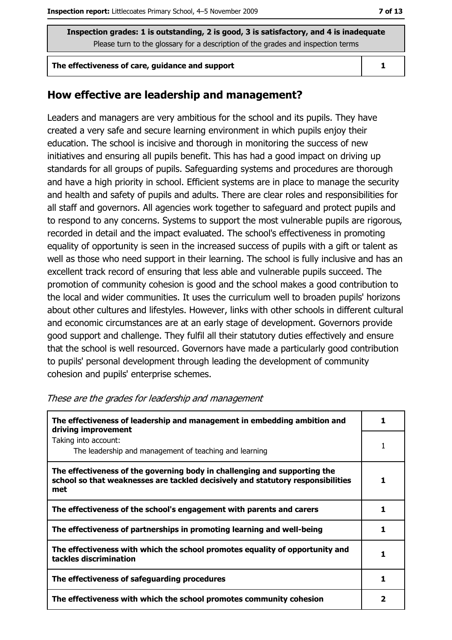#### The effectiveness of care, guidance and support

#### How effective are leadership and management?

Leaders and managers are very ambitious for the school and its pupils. They have created a very safe and secure learning environment in which pupils enjoy their education. The school is incisive and thorough in monitoring the success of new initiatives and ensuring all pupils benefit. This has had a good impact on driving up standards for all groups of pupils. Safeguarding systems and procedures are thorough and have a high priority in school. Efficient systems are in place to manage the security and health and safety of pupils and adults. There are clear roles and responsibilities for all staff and governors. All agencies work together to safeguard and protect pupils and to respond to any concerns. Systems to support the most vulnerable pupils are rigorous, recorded in detail and the impact evaluated. The school's effectiveness in promoting equality of opportunity is seen in the increased success of pupils with a gift or talent as well as those who need support in their learning. The school is fully inclusive and has an excellent track record of ensuring that less able and vulnerable pupils succeed. The promotion of community cohesion is good and the school makes a good contribution to the local and wider communities. It uses the curriculum well to broaden pupils' horizons about other cultures and lifestyles. However, links with other schools in different cultural and economic circumstances are at an early stage of development. Governors provide good support and challenge. They fulfil all their statutory duties effectively and ensure that the school is well resourced. Governors have made a particularly good contribution to pupils' personal development through leading the development of community cohesion and pupils' enterprise schemes.

| The effectiveness of leadership and management in embedding ambition and<br>driving improvement                                                                     |   |  |  |
|---------------------------------------------------------------------------------------------------------------------------------------------------------------------|---|--|--|
| Taking into account:<br>The leadership and management of teaching and learning                                                                                      |   |  |  |
| The effectiveness of the governing body in challenging and supporting the<br>school so that weaknesses are tackled decisively and statutory responsibilities<br>met |   |  |  |
| The effectiveness of the school's engagement with parents and carers                                                                                                | 1 |  |  |
| The effectiveness of partnerships in promoting learning and well-being                                                                                              |   |  |  |
| The effectiveness with which the school promotes equality of opportunity and<br>tackles discrimination                                                              |   |  |  |
| The effectiveness of safeguarding procedures                                                                                                                        | 1 |  |  |
| The effectiveness with which the school promotes community cohesion                                                                                                 |   |  |  |

|  |  | These are the grades for leadership and management |
|--|--|----------------------------------------------------|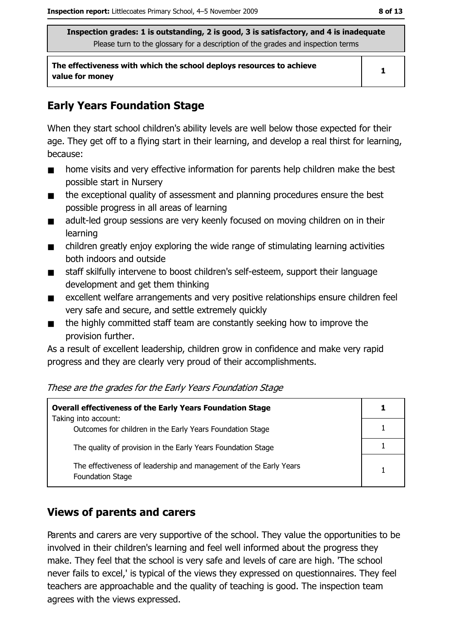The effectiveness with which the school deploys resources to achieve value for money

 $\mathbf{1}$ 

## **Early Years Foundation Stage**

When they start school children's ability levels are well below those expected for their age. They get off to a flying start in their learning, and develop a real thirst for learning, because:

- home visits and very effective information for parents help children make the best  $\blacksquare$ possible start in Nursery
- the exceptional quality of assessment and planning procedures ensure the best  $\blacksquare$ possible progress in all areas of learning
- adult-led group sessions are very keenly focused on moving children on in their  $\blacksquare$ learning
- children greatly enjoy exploring the wide range of stimulating learning activities  $\blacksquare$ both indoors and outside
- staff skilfully intervene to boost children's self-esteem, support their language  $\blacksquare$ development and get them thinking
- excellent welfare arrangements and very positive relationships ensure children feel  $\blacksquare$ very safe and secure, and settle extremely quickly
- the highly committed staff team are constantly seeking how to improve the  $\blacksquare$ provision further.

As a result of excellent leadership, children grow in confidence and make very rapid progress and they are clearly very proud of their accomplishments.

#### These are the grades for the Early Years Foundation Stage

| <b>Overall effectiveness of the Early Years Foundation Stage</b>                             |  |
|----------------------------------------------------------------------------------------------|--|
| Taking into account:<br>Outcomes for children in the Early Years Foundation Stage            |  |
| The quality of provision in the Early Years Foundation Stage                                 |  |
| The effectiveness of leadership and management of the Early Years<br><b>Foundation Stage</b> |  |

## **Views of parents and carers**

Parents and carers are very supportive of the school. They value the opportunities to be involved in their children's learning and feel well informed about the progress they make. They feel that the school is very safe and levels of care are high. The school never fails to excel,' is typical of the views they expressed on questionnaires. They feel teachers are approachable and the quality of teaching is good. The inspection team agrees with the views expressed.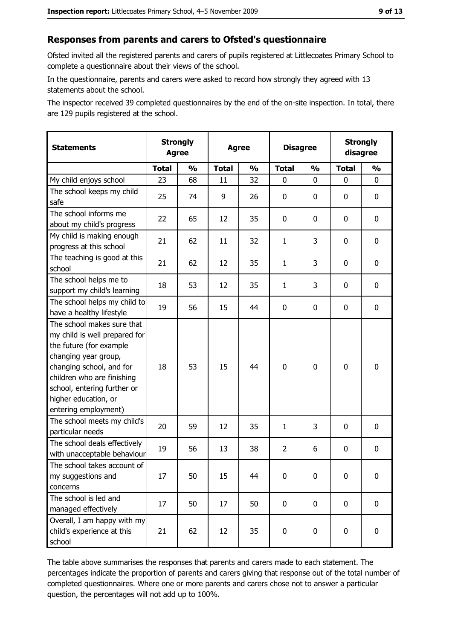#### Responses from parents and carers to Ofsted's questionnaire

Ofsted invited all the registered parents and carers of pupils registered at Littlecoates Primary School to complete a questionnaire about their views of the school.

In the questionnaire, parents and carers were asked to record how strongly they agreed with 13 statements about the school.

The inspector received 39 completed questionnaires by the end of the on-site inspection. In total, there are 129 pupils registered at the school.

| <b>Statements</b>                                                                                                                                                                                                                                       | <b>Agree</b> | <b>Strongly</b> |              | <b>Strongly</b><br><b>Disagree</b><br><b>Agree</b><br>disagree |                |               |              |               |
|---------------------------------------------------------------------------------------------------------------------------------------------------------------------------------------------------------------------------------------------------------|--------------|-----------------|--------------|----------------------------------------------------------------|----------------|---------------|--------------|---------------|
|                                                                                                                                                                                                                                                         | <b>Total</b> | $\frac{1}{2}$   | <b>Total</b> | $\frac{1}{2}$                                                  | <b>Total</b>   | $\frac{0}{0}$ | <b>Total</b> | $\frac{1}{2}$ |
| My child enjoys school                                                                                                                                                                                                                                  | 23           | 68              | 11           | 32                                                             | $\mathbf 0$    | 0             | 0            | $\mathbf 0$   |
| The school keeps my child<br>safe                                                                                                                                                                                                                       | 25           | 74              | 9            | 26                                                             | $\mathbf 0$    | 0             | 0            | $\mathbf 0$   |
| The school informs me<br>about my child's progress                                                                                                                                                                                                      | 22           | 65              | 12           | 35                                                             | 0              | 0             | $\mathbf{0}$ | 0             |
| My child is making enough<br>progress at this school                                                                                                                                                                                                    | 21           | 62              | 11           | 32                                                             | $\mathbf{1}$   | 3             | 0            | 0             |
| The teaching is good at this<br>school                                                                                                                                                                                                                  | 21           | 62              | 12           | 35                                                             | $\mathbf{1}$   | 3             | 0            | 0             |
| The school helps me to<br>support my child's learning                                                                                                                                                                                                   | 18           | 53              | 12           | 35                                                             | $\mathbf{1}$   | 3             | 0            | $\mathbf 0$   |
| The school helps my child to<br>have a healthy lifestyle                                                                                                                                                                                                | 19           | 56              | 15           | 44                                                             | $\mathbf 0$    | 0             | 0            | $\mathbf 0$   |
| The school makes sure that<br>my child is well prepared for<br>the future (for example<br>changing year group,<br>changing school, and for<br>children who are finishing<br>school, entering further or<br>higher education, or<br>entering employment) | 18           | 53              | 15           | 44                                                             | $\mathbf 0$    | 0             | $\mathbf 0$  | $\mathbf 0$   |
| The school meets my child's<br>particular needs                                                                                                                                                                                                         | 20           | 59              | 12           | 35                                                             | $\mathbf{1}$   | 3             | $\Omega$     | $\mathbf 0$   |
| The school deals effectively<br>with unacceptable behaviour                                                                                                                                                                                             | 19           | 56              | 13           | 38                                                             | $\overline{2}$ | 6             | 0            | $\mathbf 0$   |
| The school takes account of<br>my suggestions and<br>concerns                                                                                                                                                                                           | 17           | 50              | 15           | 44                                                             | $\mathbf 0$    | 0             | 0            | $\bf{0}$      |
| The school is led and<br>managed effectively                                                                                                                                                                                                            | 17           | 50              | 17           | 50                                                             | $\mathbf 0$    | $\mathbf 0$   | $\mathbf 0$  | $\mathbf 0$   |
| Overall, I am happy with my<br>child's experience at this<br>school                                                                                                                                                                                     | 21           | 62              | 12           | 35                                                             | $\pmb{0}$      | 0             | $\mathbf 0$  | 0             |

The table above summarises the responses that parents and carers made to each statement. The percentages indicate the proportion of parents and carers giving that response out of the total number of completed questionnaires. Where one or more parents and carers chose not to answer a particular question, the percentages will not add up to 100%.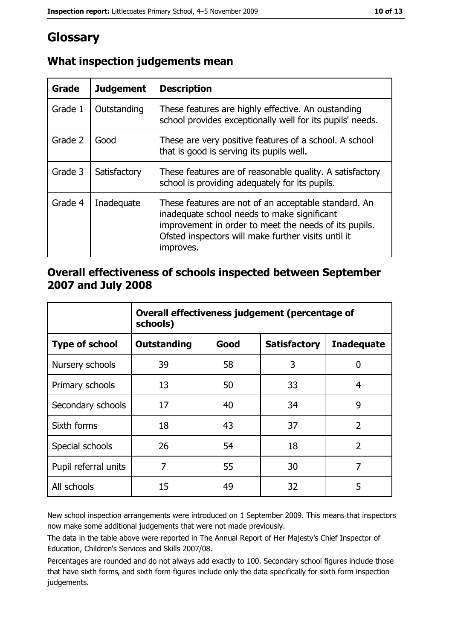# Glossary

| <b>Grade</b> | <b>Judgement</b> | <b>Description</b>                                                                                                                                                                                                               |
|--------------|------------------|----------------------------------------------------------------------------------------------------------------------------------------------------------------------------------------------------------------------------------|
| Grade 1      | Outstanding      | These features are highly effective. An oustanding<br>school provides exceptionally well for its pupils' needs.                                                                                                                  |
| Grade 2      | Good             | These are very positive features of a school. A school<br>that is good is serving its pupils well.                                                                                                                               |
| Grade 3      | Satisfactory     | These features are of reasonable quality. A satisfactory<br>school is providing adequately for its pupils.                                                                                                                       |
| Grade 4      | Inadequate       | These features are not of an acceptable standard. An<br>inadequate school needs to make significant<br>improvement in order to meet the needs of its pupils.<br>Ofsted inspectors will make further visits until it<br>improves. |

## What inspection judgements mean

#### Overall effectiveness of schools inspected between September 2007 and July 2008

|                       | Overall effectiveness judgement (percentage of<br>schools) |      |                     |                   |  |  |
|-----------------------|------------------------------------------------------------|------|---------------------|-------------------|--|--|
| <b>Type of school</b> | <b>Outstanding</b>                                         | Good | <b>Satisfactory</b> | <b>Inadequate</b> |  |  |
| Nursery schools       | 39                                                         | 58   | 3                   | 0                 |  |  |
| Primary schools       | 13                                                         | 50   | 33                  | 4                 |  |  |
| Secondary schools     | 17                                                         | 40   | 34                  | 9                 |  |  |
| Sixth forms           | 18                                                         | 43   | 37                  | $\overline{2}$    |  |  |
| Special schools       | 26                                                         | 54   | 18                  | $\overline{2}$    |  |  |
| Pupil referral units  | 7                                                          | 55   | 30                  | 7                 |  |  |
| All schools           | 15                                                         | 49   | 32                  | 5                 |  |  |

New school inspection arrangements were introduced on 1 September 2009. This means that inspectors now make some additional judgements that were not made previously.

The data in the table above were reported in The Annual Report of Her Majesty's Chief Inspector of Education, Children's Services and Skills 2007/08.

Percentages are rounded and do not always add exactly to 100. Secondary school figures include those that have sixth forms, and sixth form figures include only the data specifically for sixth form inspection judgements.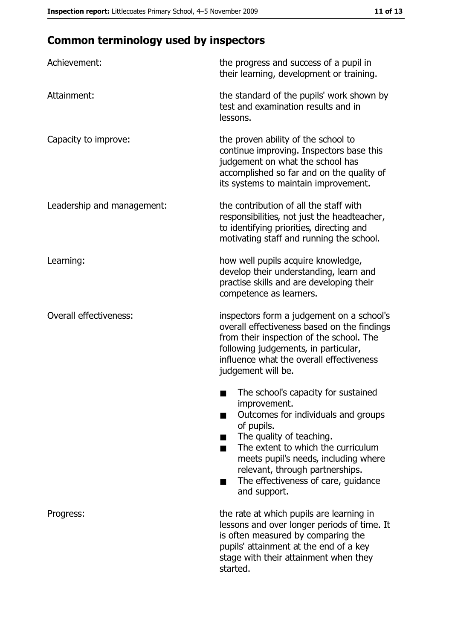# **Common terminology used by inspectors**

| Achievement:                  | the progress and success of a pupil in<br>their learning, development or training.                                                                                                                                                                                                                           |
|-------------------------------|--------------------------------------------------------------------------------------------------------------------------------------------------------------------------------------------------------------------------------------------------------------------------------------------------------------|
| Attainment:                   | the standard of the pupils' work shown by<br>test and examination results and in<br>lessons.                                                                                                                                                                                                                 |
| Capacity to improve:          | the proven ability of the school to<br>continue improving. Inspectors base this<br>judgement on what the school has<br>accomplished so far and on the quality of<br>its systems to maintain improvement.                                                                                                     |
| Leadership and management:    | the contribution of all the staff with<br>responsibilities, not just the headteacher,<br>to identifying priorities, directing and<br>motivating staff and running the school.                                                                                                                                |
| Learning:                     | how well pupils acquire knowledge,<br>develop their understanding, learn and<br>practise skills and are developing their<br>competence as learners.                                                                                                                                                          |
| <b>Overall effectiveness:</b> | inspectors form a judgement on a school's<br>overall effectiveness based on the findings<br>from their inspection of the school. The<br>following judgements, in particular,<br>influence what the overall effectiveness<br>judgement will be.                                                               |
|                               | The school's capacity for sustained<br>improvement.<br>Outcomes for individuals and groups<br>of pupils.<br>The quality of teaching.<br>The extent to which the curriculum<br>meets pupil's needs, including where<br>relevant, through partnerships.<br>The effectiveness of care, guidance<br>and support. |
| Progress:                     | the rate at which pupils are learning in<br>lessons and over longer periods of time. It<br>is often measured by comparing the<br>pupils' attainment at the end of a key<br>stage with their attainment when they<br>started.                                                                                 |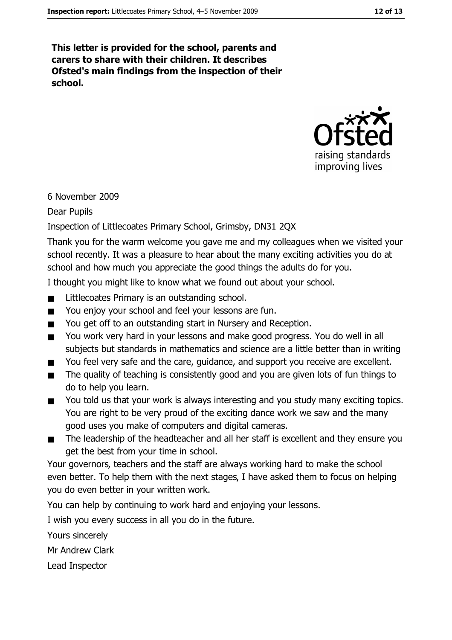This letter is provided for the school, parents and carers to share with their children. It describes Ofsted's main findings from the inspection of their school.



#### 6 November 2009

**Dear Pupils** 

#### Inspection of Littlecoates Primary School, Grimsby, DN31 2QX

Thank you for the warm welcome you gave me and my colleagues when we visited your school recently. It was a pleasure to hear about the many exciting activities you do at school and how much you appreciate the good things the adults do for you.

I thought you might like to know what we found out about your school.

- Littlecoates Primary is an outstanding school.  $\blacksquare$
- You enjoy your school and feel your lessons are fun.  $\blacksquare$
- You get off to an outstanding start in Nursery and Reception.  $\blacksquare$
- $\blacksquare$ You work very hard in your lessons and make good progress. You do well in all subjects but standards in mathematics and science are a little better than in writing
- You feel very safe and the care, quidance, and support you receive are excellent.  $\blacksquare$
- The quality of teaching is consistently good and you are given lots of fun things to  $\blacksquare$ do to help you learn.
- You told us that your work is always interesting and you study many exciting topics.  $\blacksquare$ You are right to be very proud of the exciting dance work we saw and the many good uses you make of computers and digital cameras.
- The leadership of the headteacher and all her staff is excellent and they ensure you  $\blacksquare$ get the best from your time in school.

Your governors, teachers and the staff are always working hard to make the school even better. To help them with the next stages, I have asked them to focus on helping you do even better in your written work.

You can help by continuing to work hard and enjoying your lessons.

I wish you every success in all you do in the future.

Yours sincerely

Mr Andrew Clark

Lead Inspector